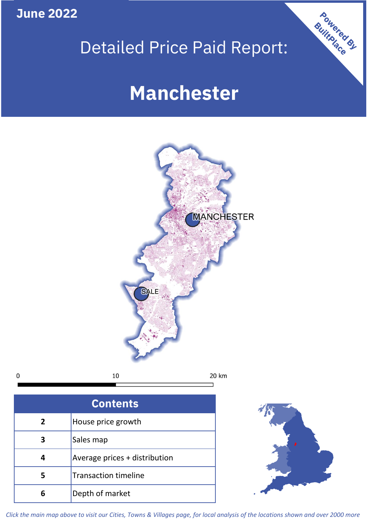**June 2022**

**5**

**4**

# Detailed Price Paid Report:

Powered By

# **Manchester**



*Click the main map above to visit our Cities, Towns & Villages page, for local analysis of the locations shown and over 2000 more*

Average prices + distribution

Transaction timeline

**6** Depth of market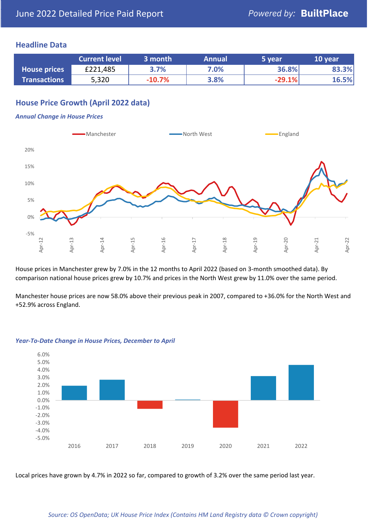### **Headline Data**

|                     | <b>Current level</b> | 3 month  | <b>Annual</b> | 5 year   | 10 year |
|---------------------|----------------------|----------|---------------|----------|---------|
| <b>House prices</b> | £221,485             | 3.7%     | 7.0%          | 36.8%    | 83.3%   |
| <b>Transactions</b> | 5,320                | $-10.7%$ | 3.8%          | $-29.1%$ | 16.5%   |

## **House Price Growth (April 2022 data)**

#### *Annual Change in House Prices*



House prices in Manchester grew by 7.0% in the 12 months to April 2022 (based on 3-month smoothed data). By comparison national house prices grew by 10.7% and prices in the North West grew by 11.0% over the same period.

Manchester house prices are now 58.0% above their previous peak in 2007, compared to +36.0% for the North West and +52.9% across England.



#### *Year-To-Date Change in House Prices, December to April*

Local prices have grown by 4.7% in 2022 so far, compared to growth of 3.2% over the same period last year.

#### *Source: OS OpenData; UK House Price Index (Contains HM Land Registry data © Crown copyright)*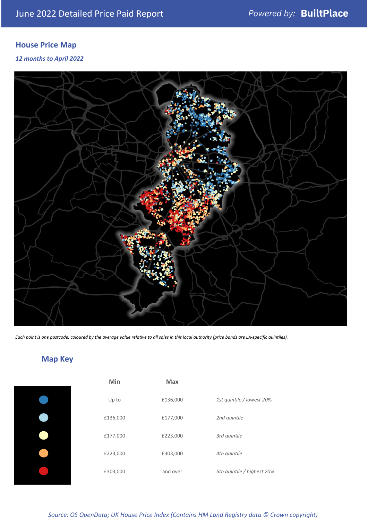# **House Price Map**

*12 months to April 2022*



*Each point is one postcode, coloured by the average value relative to all sales in this local authority (price bands are LA-specific quintiles).*

# **Map Key**

| Min      | <b>Max</b> |                            |
|----------|------------|----------------------------|
| Up to    | £136,000   | 1st quintile / lowest 20%  |
| £136,000 | £177,000   | 2nd quintile               |
| £177,000 | £223,000   | 3rd quintile               |
| £223,000 | £303,000   | 4th quintile               |
| £303,000 | and over   | 5th quintile / highest 20% |

*Source: OS OpenData; UK House Price Index (Contains HM Land Registry data © Crown copyright)*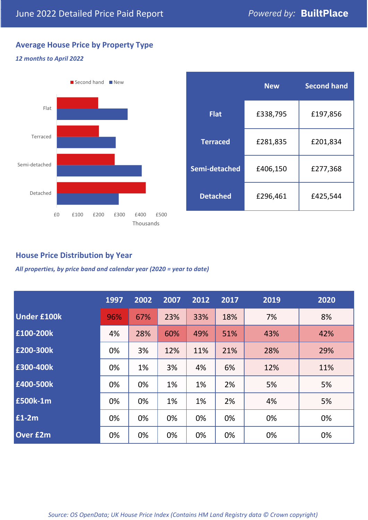## **Average House Price by Property Type**

### *12 months to April 2022*



|                 | <b>New</b> | <b>Second hand</b> |  |  |
|-----------------|------------|--------------------|--|--|
| <b>Flat</b>     | £338,795   | £197,856           |  |  |
| <b>Terraced</b> | £281,835   | £201,834           |  |  |
| Semi-detached   | £406,150   | £277,368           |  |  |
| <b>Detached</b> | £296,461   | £425,544           |  |  |

## **House Price Distribution by Year**

*All properties, by price band and calendar year (2020 = year to date)*

|                    | 1997 | 2002 | 2007 | 2012 | 2017 | 2019 | 2020 |
|--------------------|------|------|------|------|------|------|------|
| <b>Under £100k</b> | 96%  | 67%  | 23%  | 33%  | 18%  | 7%   | 8%   |
| £100-200k          | 4%   | 28%  | 60%  | 49%  | 51%  | 43%  | 42%  |
| E200-300k          | 0%   | 3%   | 12%  | 11%  | 21%  | 28%  | 29%  |
| £300-400k          | 0%   | 1%   | 3%   | 4%   | 6%   | 12%  | 11%  |
| £400-500k          | 0%   | 0%   | 1%   | 1%   | 2%   | 5%   | 5%   |
| <b>£500k-1m</b>    | 0%   | 0%   | 1%   | 1%   | 2%   | 4%   | 5%   |
| £1-2m              | 0%   | 0%   | 0%   | 0%   | 0%   | 0%   | 0%   |
| <b>Over £2m</b>    | 0%   | 0%   | 0%   | 0%   | 0%   | 0%   | 0%   |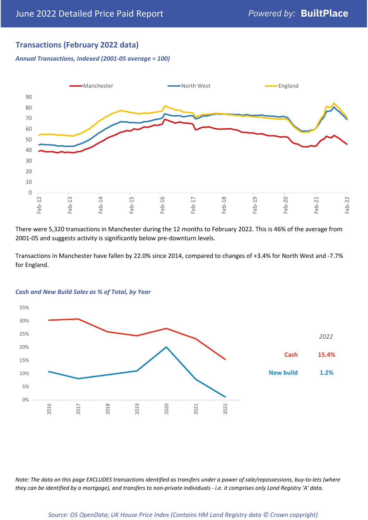## **Transactions (February 2022 data)**

*Annual Transactions, Indexed (2001-05 average = 100)*



There were 5,320 transactions in Manchester during the 12 months to February 2022. This is 46% of the average from 2001-05 and suggests activity is significantly below pre-downturn levels.

Transactions in Manchester have fallen by 22.0% since 2014, compared to changes of +3.4% for North West and -7.7% for England.



#### *Cash and New Build Sales as % of Total, by Year*

*Note: The data on this page EXCLUDES transactions identified as transfers under a power of sale/repossessions, buy-to-lets (where they can be identified by a mortgage), and transfers to non-private individuals - i.e. it comprises only Land Registry 'A' data.*